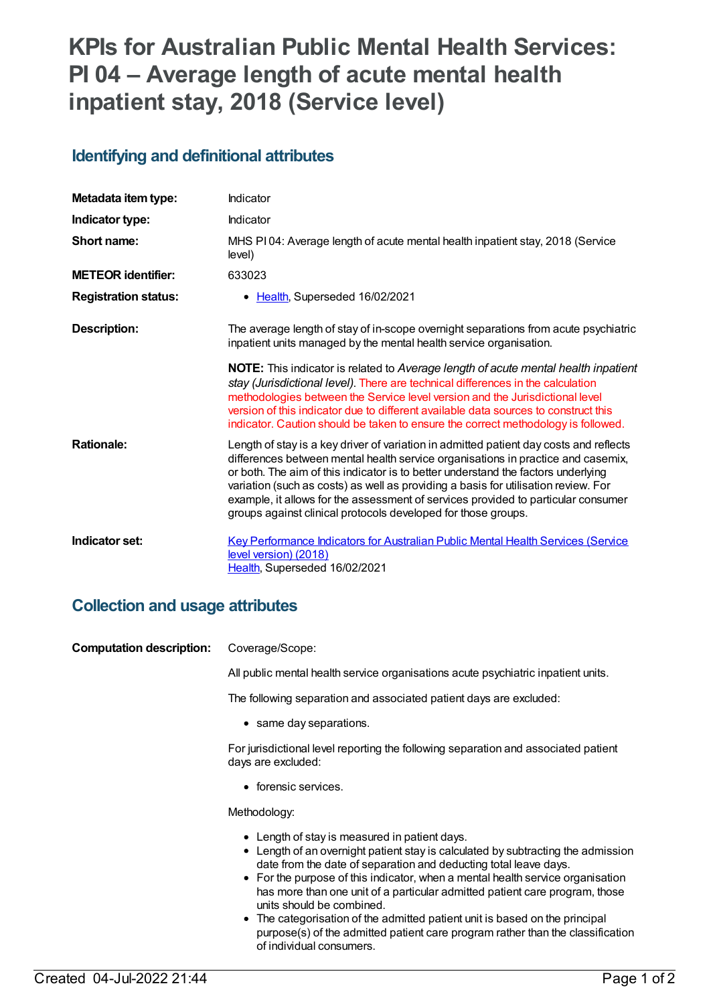# **KPIs for Australian Public Mental Health Services: PI 04 – Average length of acute mental health inpatient stay, 2018 (Service level)**

#### **Identifying and definitional attributes**

| Metadata item type:         | Indicator                                                                                                                                                                                                                                                                                                                                                                                                                                                                                                   |
|-----------------------------|-------------------------------------------------------------------------------------------------------------------------------------------------------------------------------------------------------------------------------------------------------------------------------------------------------------------------------------------------------------------------------------------------------------------------------------------------------------------------------------------------------------|
| Indicator type:             | Indicator                                                                                                                                                                                                                                                                                                                                                                                                                                                                                                   |
| Short name:                 | MHS PI04: Average length of acute mental health inpatient stay, 2018 (Service<br>level)                                                                                                                                                                                                                                                                                                                                                                                                                     |
| <b>METEOR identifier:</b>   | 633023                                                                                                                                                                                                                                                                                                                                                                                                                                                                                                      |
| <b>Registration status:</b> | • Health, Superseded 16/02/2021                                                                                                                                                                                                                                                                                                                                                                                                                                                                             |
| <b>Description:</b>         | The average length of stay of in-scope overnight separations from acute psychiatric<br>inpatient units managed by the mental health service organisation.                                                                                                                                                                                                                                                                                                                                                   |
|                             | NOTE: This indicator is related to Average length of acute mental health inpatient<br>stay (Jurisdictional level). There are technical differences in the calculation<br>methodologies between the Service level version and the Jurisdictional level<br>version of this indicator due to different available data sources to construct this<br>indicator. Caution should be taken to ensure the correct methodology is followed.                                                                           |
| <b>Rationale:</b>           | Length of stay is a key driver of variation in admitted patient day costs and reflects<br>differences between mental health service organisations in practice and casemix,<br>or both. The aim of this indicator is to better understand the factors underlying<br>variation (such as costs) as well as providing a basis for utilisation review. For<br>example, it allows for the assessment of services provided to particular consumer<br>groups against clinical protocols developed for those groups. |
| Indicator set:              | <b>Key Performance Indicators for Australian Public Mental Health Services (Service</b><br>level version) (2018)<br>Health, Superseded 16/02/2021                                                                                                                                                                                                                                                                                                                                                           |

### **Collection and usage attributes**

| <b>Computation description:</b> | Coverage/Scope:                                                                                                                                                                                                                                                                                                                                                                                                                                                                                                                                                      |
|---------------------------------|----------------------------------------------------------------------------------------------------------------------------------------------------------------------------------------------------------------------------------------------------------------------------------------------------------------------------------------------------------------------------------------------------------------------------------------------------------------------------------------------------------------------------------------------------------------------|
|                                 | All public mental health service organisations acute psychiatric inpatient units.                                                                                                                                                                                                                                                                                                                                                                                                                                                                                    |
|                                 | The following separation and associated patient days are excluded:                                                                                                                                                                                                                                                                                                                                                                                                                                                                                                   |
|                                 | • same day separations.                                                                                                                                                                                                                                                                                                                                                                                                                                                                                                                                              |
|                                 | For jurisdictional level reporting the following separation and associated patient<br>days are excluded:                                                                                                                                                                                                                                                                                                                                                                                                                                                             |
|                                 | • forensic services.                                                                                                                                                                                                                                                                                                                                                                                                                                                                                                                                                 |
|                                 | Methodology:                                                                                                                                                                                                                                                                                                                                                                                                                                                                                                                                                         |
|                                 | • Length of stay is measured in patient days.<br>• Length of an overnight patient stay is calculated by subtracting the admission<br>date from the date of separation and deducting total leave days.<br>• For the purpose of this indicator, when a mental health service organisation<br>has more than one unit of a particular admitted patient care program, those<br>units should be combined.<br>• The categorisation of the admitted patient unit is based on the principal<br>purpose(s) of the admitted patient care program rather than the classification |

of individual consumers.